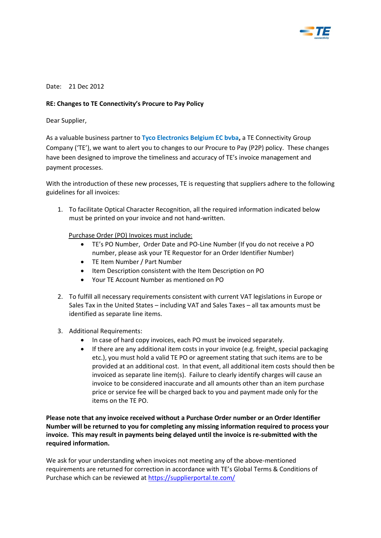

## Date: 21 Dec 2012

## **RE: Changes to TE Connectivity's Procure to Pay Policy**

Dear Supplier,

As a valuable business partner to **Tyco Electronics Belgium EC bvba,** a TE Connectivity Group Company ('TE'), we want to alert you to changes to our Procure to Pay (P2P) policy. These changes have been designed to improve the timeliness and accuracy of TE's invoice management and payment processes.

With the introduction of these new processes, TE is requesting that suppliers adhere to the following guidelines for all invoices:

1. To facilitate Optical Character Recognition, all the required information indicated below must be printed on your invoice and not hand-written.

Purchase Order (PO) Invoices must include:

- TE's PO Number, Order Date and PO-Line Number (If you do not receive a PO number, please ask your TE Requestor for an Order Identifier Number)
- TE Item Number / Part Number
- Item Description consistent with the Item Description on PO
- Your TE Account Number as mentioned on PO
- 2. To fulfill all necessary requirements consistent with current VAT legislations in Europe or Sales Tax in the United States – including VAT and Sales Taxes – all tax amounts must be identified as separate line items.
- 3. Additional Requirements:
	- In case of hard copy invoices, each PO must be invoiced separately.
	- If there are any additional item costs in your invoice (e.g. freight, special packaging etc.), you must hold a valid TE PO or agreement stating that such items are to be provided at an additional cost. In that event, all additional item costs should then be invoiced as separate line item(s). Failure to clearly identify charges will cause an invoice to be considered inaccurate and all amounts other than an item purchase price or service fee will be charged back to you and payment made only for the items on the TE PO.

**Please note that any invoice received without a Purchase Order number or an Order Identifier Number will be returned to you for completing any missing information required to process your invoice. This may result in payments being delayed until the invoice is re-submitted with the required information.** 

We ask for your understanding when invoices not meeting any of the above-mentioned requirements are returned for correction in accordance with TE's Global Terms & Conditions of Purchase which can be reviewed a[t https://supplierportal.te.com/](https://supplierportal.te.com/)